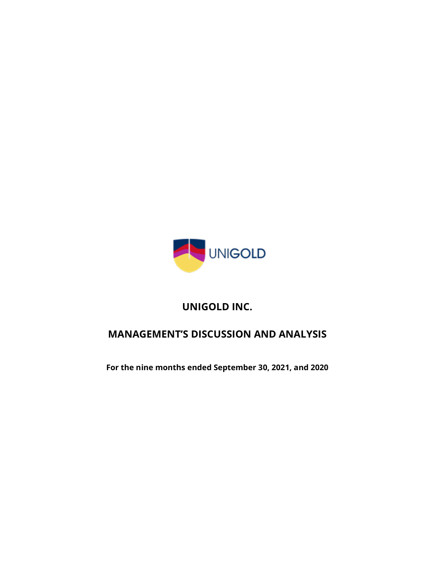

# **UNIGOLD INC.**

# **MANAGEMENT'S DISCUSSION AND ANALYSIS**

**For the nine months ended September 30, 2021, and 2020**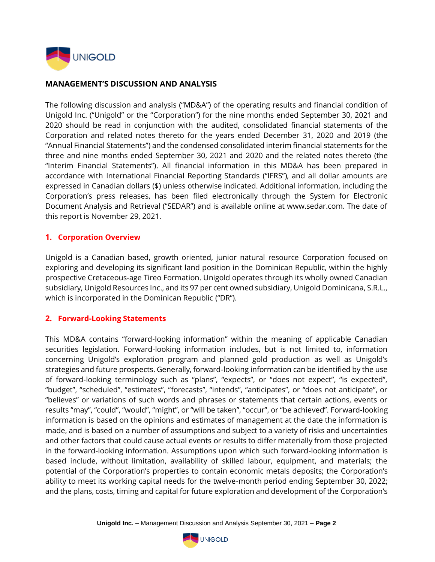

#### **MANAGEMENT'S DISCUSSION AND ANALYSIS**

The following discussion and analysis ("MD&A") of the operating results and financial condition of Unigold Inc. ("Unigold" or the "Corporation") for the nine months ended September 30, 2021 and 2020 should be read in conjunction with the audited, consolidated financial statements of the Corporation and related notes thereto for the years ended December 31, 2020 and 2019 (the "Annual Financial Statements") and the condensed consolidated interim financial statements for the three and nine months ended September 30, 2021 and 2020 and the related notes thereto (the "Interim Financial Statements"). All financial information in this MD&A has been prepared in accordance with International Financial Reporting Standards ("IFRS"), and all dollar amounts are expressed in Canadian dollars (\$) unless otherwise indicated. Additional information, including the Corporation's press releases, has been filed electronically through the System for Electronic Document Analysis and Retrieval ("SEDAR") and is available online at www.sedar.com. The date of this report is November 29, 2021.

#### **1. Corporation Overview**

Unigold is a Canadian based, growth oriented, junior natural resource Corporation focused on exploring and developing its significant land position in the Dominican Republic, within the highly prospective Cretaceous-age Tireo Formation. Unigold operates through its wholly owned Canadian subsidiary, Unigold Resources Inc., and its 97 per cent owned subsidiary, Unigold Dominicana, S.R.L., which is incorporated in the Dominican Republic ("DR").

#### **2. Forward-Looking Statements**

This MD&A contains "forward-looking information" within the meaning of applicable Canadian securities legislation. Forward-looking information includes, but is not limited to, information concerning Unigold's exploration program and planned gold production as well as Unigold's strategies and future prospects. Generally, forward-looking information can be identified by the use of forward-looking terminology such as "plans", "expects", or "does not expect", "is expected", "budget", "scheduled", "estimates", "forecasts", "intends", "anticipates", or "does not anticipate", or "believes" or variations of such words and phrases or statements that certain actions, events or results "may", "could", "would", "might", or "will be taken", "occur", or "be achieved". Forward-looking information is based on the opinions and estimates of management at the date the information is made, and is based on a number of assumptions and subject to a variety of risks and uncertainties and other factors that could cause actual events or results to differ materially from those projected in the forward-looking information. Assumptions upon which such forward-looking information is based include, without limitation, availability of skilled labour, equipment, and materials; the potential of the Corporation's properties to contain economic metals deposits; the Corporation's ability to meet its working capital needs for the twelve-month period ending September 30, 2022; and the plans, costs, timing and capital for future exploration and development of the Corporation's

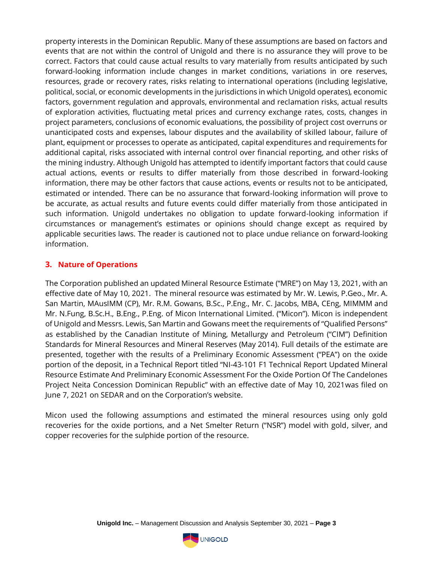property interests in the Dominican Republic. Many of these assumptions are based on factors and events that are not within the control of Unigold and there is no assurance they will prove to be correct. Factors that could cause actual results to vary materially from results anticipated by such forward-looking information include changes in market conditions, variations in ore reserves, resources, grade or recovery rates, risks relating to international operations (including legislative, political, social, or economic developments in the jurisdictions in which Unigold operates), economic factors, government regulation and approvals, environmental and reclamation risks, actual results of exploration activities, fluctuating metal prices and currency exchange rates, costs, changes in project parameters, conclusions of economic evaluations, the possibility of project cost overruns or unanticipated costs and expenses, labour disputes and the availability of skilled labour, failure of plant, equipment or processes to operate as anticipated, capital expenditures and requirements for additional capital, risks associated with internal control over financial reporting, and other risks of the mining industry. Although Unigold has attempted to identify important factors that could cause actual actions, events or results to differ materially from those described in forward-looking information, there may be other factors that cause actions, events or results not to be anticipated, estimated or intended. There can be no assurance that forward-looking information will prove to be accurate, as actual results and future events could differ materially from those anticipated in such information. Unigold undertakes no obligation to update forward-looking information if circumstances or management's estimates or opinions should change except as required by applicable securities laws. The reader is cautioned not to place undue reliance on forward-looking information.

#### **3. Nature of Operations**

The Corporation published an updated Mineral Resource Estimate ("MRE") on May 13, 2021, with an effective date of May 10, 2021. The mineral resource was estimated by Mr. W. Lewis, P.Geo., Mr. A. San Martin, MAusIMM (CP), Mr. R.M. Gowans, B.Sc., P.Eng., Mr. C. Jacobs, MBA, CEng, MIMMM and Mr. N.Fung, B.Sc.H., B.Eng., P.Eng. of Micon International Limited. ("Micon"). Micon is independent of Unigold and Messrs. Lewis, San Martin and Gowans meet the requirements of "Qualified Persons" as established by the Canadian Institute of Mining, Metallurgy and Petroleum ("CIM") Definition Standards for Mineral Resources and Mineral Reserves (May 2014). Full details of the estimate are presented, together with the results of a Preliminary Economic Assessment ("PEA") on the oxide portion of the deposit, in a Technical Report titled "NI-43-101 F1 Technical Report Updated Mineral Resource Estimate And Preliminary Economic Assessment For the Oxide Portion Of The Candelones Project Neita Concession Dominican Republic" with an effective date of May 10, 2021was filed on June 7, 2021 on SEDAR and on the Corporation's website.

Micon used the following assumptions and estimated the mineral resources using only gold recoveries for the oxide portions, and a Net Smelter Return ("NSR") model with gold, silver, and copper recoveries for the sulphide portion of the resource.

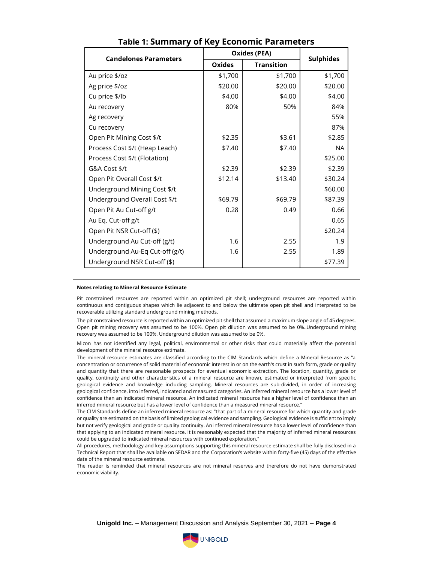| <b>Candelones Parameters</b>    | <b>Oxides (PEA)</b> | <b>Sulphides</b>  |           |
|---------------------------------|---------------------|-------------------|-----------|
|                                 | <b>Oxides</b>       | <b>Transition</b> |           |
| Au price \$/oz                  | \$1,700             | \$1,700           | \$1,700   |
| Ag price \$/oz                  | \$20.00             | \$20.00           | \$20.00   |
| Cu price \$/lb                  | \$4.00              | \$4.00            | \$4.00    |
| Au recovery                     | 80%                 | 50%               | 84%       |
| Ag recovery                     |                     |                   | 55%       |
| Cu recovery                     |                     |                   | 87%       |
| Open Pit Mining Cost \$/t       | \$2.35              | \$3.61            | \$2.85    |
| Process Cost \$/t (Heap Leach)  | \$7.40              | \$7.40            | <b>NA</b> |
| Process Cost \$/t (Flotation)   |                     |                   | \$25.00   |
| G&A Cost \$/t                   | \$2.39              | \$2.39            | \$2.39    |
| Open Pit Overall Cost \$/t      | \$12.14             | \$13.40           | \$30.24   |
| Underground Mining Cost \$/t    |                     |                   | \$60.00   |
| Underground Overall Cost \$/t   | \$69.79             | \$69.79           | \$87.39   |
| Open Pit Au Cut-off g/t         | 0.28                | 0.49              | 0.66      |
| Au Eq. Cut-off g/t              |                     |                   | 0.65      |
| Open Pit NSR Cut-off (\$)       |                     |                   | \$20.24   |
| Underground Au Cut-off (g/t)    | 1.6                 | 2.55              | 1.9       |
| Underground Au-Eq Cut-off (g/t) | 1.6                 | 2.55              | 1.89      |
| Underground NSR Cut-off (\$)    |                     |                   | \$77.39   |

#### **Table 1: Summary of Key Economic Parameters**

#### **Notes relating to Mineral Resource Estimate**

Pit constrained resources are reported within an optimized pit shell; underground resources are reported within continuous and contiguous shapes which lie adjacent to and below the ultimate open pit shell and interpreted to be recoverable utilizing standard underground mining methods.

The pit constrained resource is reported within an optimized pit shell that assumed a maximum slope angle of 45 degrees. Open pit mining recovery was assumed to be 100%. Open pit dilution was assumed to be 0%..Underground mining recovery was assumed to be 100%. Underground dilution was assumed to be 0%.

Micon has not identified any legal, political, environmental or other risks that could materially affect the potential development of the mineral resource estimate.

The mineral resource estimates are classified according to the CIM Standards which define a Mineral Resource as "a concentration or occurrence of solid material of economic interest in or on the earth's crust in such form, grade or quality and quantity that there are reasonable prospects for eventual economic extraction. The location, quantity, grade or quality, continuity and other characteristics of a mineral resource are known, estimated or interpreted from specific geological evidence and knowledge including sampling. Mineral resources are sub-divided, in order of increasing geological confidence, into inferred, indicated and measured categories. An inferred mineral resource has a lower level of confidence than an indicated mineral resource. An indicated mineral resource has a higher level of confidence than an inferred mineral resource but has a lower level of confidence than a measured mineral resource."

The CIM Standards define an inferred mineral resource as: "that part of a mineral resource for which quantity and grade or quality are estimated on the basis of limited geological evidence and sampling. Geological evidence is sufficient to imply but not verify geological and grade or quality continuity. An inferred mineral resource has a lower level of confidence than that applying to an indicated mineral resource. It is reasonably expected that the majority of inferred mineral resources could be upgraded to indicated mineral resources with continued exploration."

All procedures, methodology and key assumptions supporting this mineral resource estimate shall be fully disclosed in a Technical Report that shall be available on SEDAR and the Corporation's website within forty-five (45) days of the effective date of the mineral resource estimate.

The reader is reminded that mineral resources are not mineral reserves and therefore do not have demonstrated economic viability.

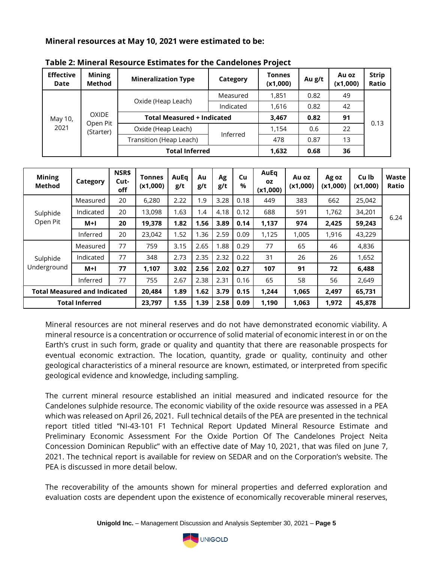#### **Mineral resources at May 10, 2021 were estimated to be:**

| <b>Effective</b><br>Date | <b>Mining</b><br>Method | <b>Mineralization Type</b>        | <b>Category</b> | <b>Tonnes</b><br>(x1,000) | Au g/t | Au oz<br>(x1,000) | <b>Strip</b><br>Ratio |  |
|--------------------------|-------------------------|-----------------------------------|-----------------|---------------------------|--------|-------------------|-----------------------|--|
|                          |                         |                                   | Measured        | 1,851                     | 0.82   | 49                |                       |  |
|                          |                         | Oxide (Heap Leach)                | Indicated       | 1,616                     | 0.82   | 42                |                       |  |
| May 10,                  | <b>OXIDE</b>            | <b>Total Measured + Indicated</b> |                 | 3,467                     | 0.82   | 91                | 0.13                  |  |
| 2021                     | Open Pit<br>(Starter)   | Oxide (Heap Leach)                | Inferred        | 1.154                     | 0.6    | 22                |                       |  |
|                          |                         | Transition (Heap Leach)           |                 | 478                       | 0.87   | 13                |                       |  |
|                          |                         | <b>Total Inferred</b>             | 1,632           | 0.68                      | 36     |                   |                       |  |

| Table 2: Mineral Resource Estimates for the Candelones Project |
|----------------------------------------------------------------|
|----------------------------------------------------------------|

| <b>Mining</b><br>Method             | Category  | NSR\$<br>Cut-<br>off | Tonnes<br>(x1,000) | AuEg<br>g/t | Au<br>g/t | Ag<br>g/t | Cu<br>$\%$ | AuEq<br><b>OZ</b><br>(x1,000) | Au oz<br>(x1,000) | Ag oz<br>(x1,000) | Cu lb<br>(x1,000) | Waste<br>Ratio |
|-------------------------------------|-----------|----------------------|--------------------|-------------|-----------|-----------|------------|-------------------------------|-------------------|-------------------|-------------------|----------------|
|                                     | Measured  | 20                   | 6,280              | 2.22        | 1.9       | 3.28      | 0.18       | 449                           | 383               | 662               | 25,042            |                |
| Sulphide                            | Indicated | 20                   | 13,098             | 1.63        | 1.4       | 4.18      | 0.12       | 688                           | 591               | 1,762             | 34,201            |                |
| Open Pit                            | M+I       | 20                   | 19,378             | 1.82        | 1.56      | 3.89      | 0.14       | 1,137                         | 974               | 2,425             | 59,243            | 6.24           |
|                                     | Inferred  | 20                   | 23,042             | 1.52        | 1.36      | 2.59      | 0.09       | 1,125                         | 1,005             | 1,916             | 43,229            |                |
|                                     | Measured  | 77                   | 759                | 3.15        | 2.65      | 1.88      | 0.29       | 77                            | 65                | 46                | 4,836             |                |
| Sulphide                            | Indicated | 77                   | 348                | 2.73        | 2.35      | 2.32      | 0.22       | 31                            | 26                | 26                | 1,652             |                |
| Underground                         | M+I       | 77                   | 1,107              | 3.02        | 2.56      | 2.02      | 0.27       | 107                           | 91                | 72                | 6,488             |                |
|                                     | Inferred  | 77                   | 755                | 2.67        | 2.38      | 2.31      | 0.16       | 65                            | 58                | 56                | 2,649             |                |
| <b>Total Measured and Indicated</b> |           | 20,484               | 1.89               | 1.62        | 3.79      | 0.15      | 1,244      | 1,065                         | 2,497             | 65,731            |                   |                |
| <b>Total Inferred</b>               |           | 23,797               | 1.55               | 1.39        | 2.58      | 0.09      | 1,190      | 1,063                         | 1,972             | 45,878            |                   |                |

Mineral resources are not mineral reserves and do not have demonstrated economic viability. A mineral resource is a concentration or occurrence of solid material of economic interest in or on the Earth's crust in such form, grade or quality and quantity that there are reasonable prospects for eventual economic extraction. The location, quantity, grade or quality, continuity and other geological characteristics of a mineral resource are known, estimated, or interpreted from specific geological evidence and knowledge, including sampling.

The current mineral resource established an initial measured and indicated resource for the Candelones sulphide resource. The economic viability of the oxide resource was assessed in a PEA which was released on April 26, 2021. Full technical details of the PEA are presented in the technical report titled titled "NI-43-101 F1 Technical Report Updated Mineral Resource Estimate and Preliminary Economic Assessment For the Oxide Portion Of The Candelones Project Neita Concession Dominican Republic" with an effective date of May 10, 2021, that was filed on June 7, 2021. The technical report is available for review on SEDAR and on the Corporation's website. The PEA is discussed in more detail below.

The recoverability of the amounts shown for mineral properties and deferred exploration and evaluation costs are dependent upon the existence of economically recoverable mineral reserves,

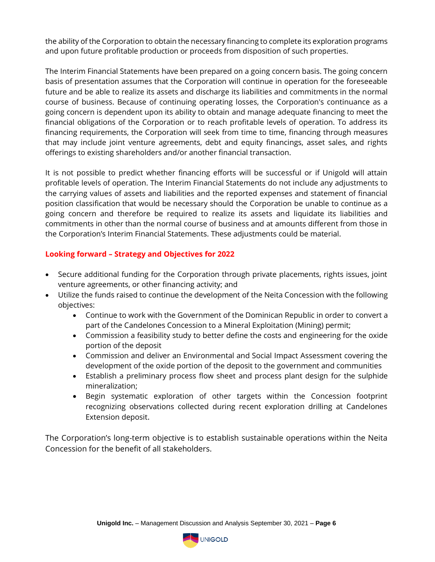the ability of the Corporation to obtain the necessary financing to complete its exploration programs and upon future profitable production or proceeds from disposition of such properties.

The Interim Financial Statements have been prepared on a going concern basis. The going concern basis of presentation assumes that the Corporation will continue in operation for the foreseeable future and be able to realize its assets and discharge its liabilities and commitments in the normal course of business. Because of continuing operating losses, the Corporation's continuance as a going concern is dependent upon its ability to obtain and manage adequate financing to meet the financial obligations of the Corporation or to reach profitable levels of operation. To address its financing requirements, the Corporation will seek from time to time, financing through measures that may include joint venture agreements, debt and equity financings, asset sales, and rights offerings to existing shareholders and/or another financial transaction.

It is not possible to predict whether financing efforts will be successful or if Unigold will attain profitable levels of operation. The Interim Financial Statements do not include any adjustments to the carrying values of assets and liabilities and the reported expenses and statement of financial position classification that would be necessary should the Corporation be unable to continue as a going concern and therefore be required to realize its assets and liquidate its liabilities and commitments in other than the normal course of business and at amounts different from those in the Corporation's Interim Financial Statements. These adjustments could be material.

# **Looking forward – Strategy and Objectives for 2022**

- Secure additional funding for the Corporation through private placements, rights issues, joint venture agreements, or other financing activity; and
- Utilize the funds raised to continue the development of the Neita Concession with the following objectives:
	- Continue to work with the Government of the Dominican Republic in order to convert a part of the Candelones Concession to a Mineral Exploitation (Mining) permit;
	- Commission a feasibility study to better define the costs and engineering for the oxide portion of the deposit
	- Commission and deliver an Environmental and Social Impact Assessment covering the development of the oxide portion of the deposit to the government and communities
	- Establish a preliminary process flow sheet and process plant design for the sulphide mineralization;
	- Begin systematic exploration of other targets within the Concession footprint recognizing observations collected during recent exploration drilling at Candelones Extension deposit.

The Corporation's long-term objective is to establish sustainable operations within the Neita Concession for the benefit of all stakeholders.

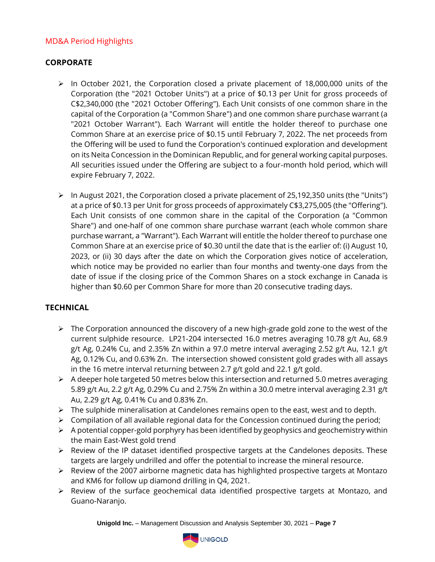# MD&A Period Highlights

# **CORPORATE**

- $\triangleright$  In October 2021, the Corporation closed a private placement of 18,000,000 units of the Corporation (the "2021 October Units") at a price of \$0.13 per Unit for gross proceeds of C\$2,340,000 (the "2021 October Offering"). Each Unit consists of one common share in the capital of the Corporation (a "Common Share") and one common share purchase warrant (a "2021 October Warrant"). Each Warrant will entitle the holder thereof to purchase one Common Share at an exercise price of \$0.15 until February 7, 2022. The net proceeds from the Offering will be used to fund the Corporation's continued exploration and development on its Neita Concession in the Dominican Republic, and for general working capital purposes. All securities issued under the Offering are subject to a four-month hold period, which will expire February 7, 2022.
- ➢ In August 2021, the Corporation closed a private placement of 25,192,350 units (the "Units") at a price of \$0.13 per Unit for gross proceeds of approximately C\$3,275,005 (the "Offering"). Each Unit consists of one common share in the capital of the Corporation (a "Common Share") and one-half of one common share purchase warrant (each whole common share purchase warrant, a "Warrant"). Each Warrant will entitle the holder thereof to purchase one Common Share at an exercise price of \$0.30 until the date that is the earlier of: (i) August 10, 2023, or (ii) 30 days after the date on which the Corporation gives notice of acceleration, which notice may be provided no earlier than four months and twenty-one days from the date of issue if the closing price of the Common Shares on a stock exchange in Canada is higher than \$0.60 per Common Share for more than 20 consecutive trading days.

# **TECHNICAL**

- $\triangleright$  The Corporation announced the discovery of a new high-grade gold zone to the west of the current sulphide resource. LP21-204 intersected 16.0 metres averaging 10.78 g/t Au, 68.9 g/t Ag, 0.24% Cu, and 2.35% Zn within a 97.0 metre interval averaging 2.52 g/t Au, 12.1 g/t Ag, 0.12% Cu, and 0.63% Zn. The intersection showed consistent gold grades with all assays in the 16 metre interval returning between 2.7 g/t gold and 22.1 g/t gold.
- $\triangleright$  A deeper hole targeted 50 metres below this intersection and returned 5.0 metres averaging 5.89 g/t Au, 2.2 g/t Ag, 0.29% Cu and 2.75% Zn within a 30.0 metre interval averaging 2.31 g/t Au, 2.29 g/t Ag, 0.41% Cu and 0.83% Zn.
- ➢ The sulphide mineralisation at Candelones remains open to the east, west and to depth.
- $\triangleright$  Compilation of all available regional data for the Concession continued during the period;
- $\triangleright$  A potential copper-gold porphyry has been identified by geophysics and geochemistry within the main East-West gold trend
- $\triangleright$  Review of the IP dataset identified prospective targets at the Candelones deposits. These targets are largely undrilled and offer the potential to increase the mineral resource.
- ➢ Review of the 2007 airborne magnetic data has highlighted prospective targets at Montazo and KM6 for follow up diamond drilling in Q4, 2021.
- ➢ Review of the surface geochemical data identified prospective targets at Montazo, and Guano-Naranjo.

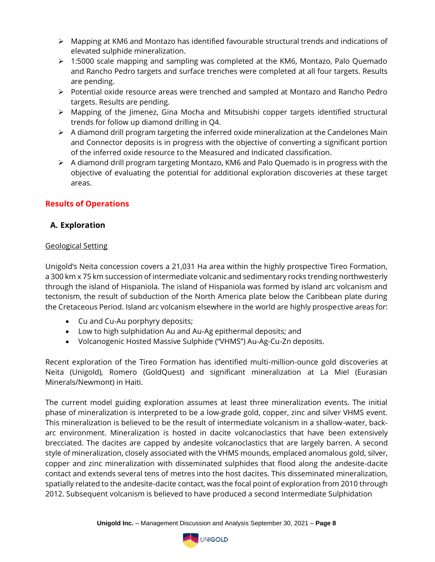- ➢ Mapping at KM6 and Montazo has identified favourable structural trends and indications of elevated sulphide mineralization.
- $\geq 1:5000$  scale mapping and sampling was completed at the KM6, Montazo, Palo Quemado and Rancho Pedro targets and surface trenches were completed at all four targets. Results are pending.
- ➢ Potential oxide resource areas were trenched and sampled at Montazo and Rancho Pedro targets. Results are pending.
- ➢ Mapping of the Jimenez, Gina Mocha and Mitsubishi copper targets identified structural trends for follow up diamond drilling in Q4.
- ➢ A diamond drill program targeting the inferred oxide mineralization at the Candelones Main and Connector deposits is in progress with the objective of converting a significant portion of the inferred oxide resource to the Measured and Indicated classification.
- $\triangleright$  A diamond drill program targeting Montazo, KM6 and Palo Quemado is in progress with the objective of evaluating the potential for additional exploration discoveries at these target areas.

# **Results of Operations**

# **A. Exploration**

# Geological Setting

Unigold's Neita concession covers a 21,031 Ha area within the highly prospective Tireo Formation, a 300 km x 75 km succession of intermediate volcanic and sedimentary rocks trending northwesterly through the island of Hispaniola. The island of Hispaniola was formed by island arc volcanism and tectonism, the result of subduction of the North America plate below the Caribbean plate during the Cretaceous Period. Island arc volcanism elsewhere in the world are highly prospective areas for:

- Cu and Cu-Au porphyry deposits;
- Low to high sulphidation Au and Au-Ag epithermal deposits; and
- Volcanogenic Hosted Massive Sulphide ("VHMS") Au-Ag-Cu-Zn deposits.

Recent exploration of the Tireo Formation has identified multi-million-ounce gold discoveries at Neita (Unigold), Romero (GoldQuest) and significant mineralization at La Miel (Eurasian Minerals/Newmont) in Haiti.

The current model guiding exploration assumes at least three mineralization events. The initial phase of mineralization is interpreted to be a low-grade gold, copper, zinc and silver VHMS event. This mineralization is believed to be the result of intermediate volcanism in a shallow-water, backarc environment. Mineralization is hosted in dacite volcanoclastics that have been extensively brecciated. The dacites are capped by andesite volcanoclastics that are largely barren. A second style of mineralization, closely associated with the VHMS mounds, emplaced anomalous gold, silver, copper and zinc mineralization with disseminated sulphides that flood along the andesite-dacite contact and extends several tens of metres into the host dacites. This disseminated mineralization, spatially related to the andesite-dacite contact, was the focal point of exploration from 2010 through 2012. Subsequent volcanism is believed to have produced a second Intermediate Sulphidation

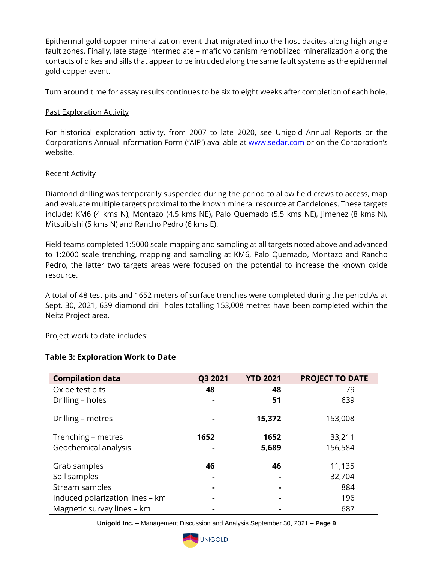Epithermal gold-copper mineralization event that migrated into the host dacites along high angle fault zones. Finally, late stage intermediate – mafic volcanism remobilized mineralization along the contacts of dikes and sills that appear to be intruded along the same fault systems as the epithermal gold-copper event.

Turn around time for assay results continues to be six to eight weeks after completion of each hole.

#### Past Exploration Activity

For historical exploration activity, from 2007 to late 2020, see Unigold Annual Reports or the Corporation's Annual Information Form ("AIF") available at [www.sedar.com](http://www.sedar.com/) or on the Corporation's website.

#### Recent Activity

Diamond drilling was temporarily suspended during the period to allow field crews to access, map and evaluate multiple targets proximal to the known mineral resource at Candelones. These targets include: KM6 (4 kms N), Montazo (4.5 kms NE), Palo Quemado (5.5 kms NE), Jimenez (8 kms N), Mitsuibishi (5 kms N) and Rancho Pedro (6 kms E).

Field teams completed 1:5000 scale mapping and sampling at all targets noted above and advanced to 1:2000 scale trenching, mapping and sampling at KM6, Palo Quemado, Montazo and Rancho Pedro, the latter two targets areas were focused on the potential to increase the known oxide resource.

A total of 48 test pits and 1652 meters of surface trenches were completed during the period.As at Sept. 30, 2021, 639 diamond drill holes totalling 153,008 metres have been completed within the Neita Project area.

Project work to date includes:

| <b>Compilation data</b>         | Q3 2021 | <b>YTD 2021</b> | <b>PROJECT TO DATE</b> |
|---------------------------------|---------|-----------------|------------------------|
| Oxide test pits                 | 48      | 48              | 79                     |
| Drilling - holes                |         | 51              | 639                    |
| Drilling - metres               |         | 15,372          | 153,008                |
| Trenching - metres              | 1652    | 1652            | 33,211                 |
| Geochemical analysis            |         | 5,689           | 156,584                |
| Grab samples                    | 46      | 46              | 11,135                 |
| Soil samples                    |         |                 | 32,704                 |
| Stream samples                  |         |                 | 884                    |
| Induced polarization lines - km |         |                 | 196                    |
| Magnetic survey lines - km      |         |                 | 687                    |

# **Table 3: Exploration Work to Date**

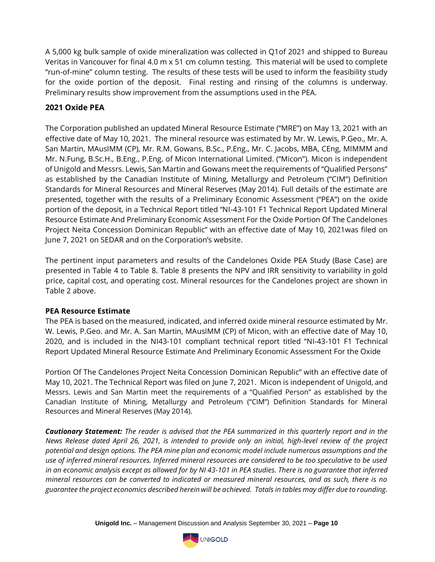A 5,000 kg bulk sample of oxide mineralization was collected in Q1of 2021 and shipped to Bureau Veritas in Vancouver for final 4.0 m x 51 cm column testing. This material will be used to complete "run-of-mine" column testing. The results of these tests will be used to inform the feasibility study for the oxide portion of the deposit. Final resting and rinsing of the columns is underway. Preliminary results show improvement from the assumptions used in the PEA.

# **2021 Oxide PEA**

The Corporation published an updated Mineral Resource Estimate ("MRE") on May 13, 2021 with an effective date of May 10, 2021. The mineral resource was estimated by Mr. W. Lewis, P.Geo., Mr. A. San Martin, MAusIMM (CP), Mr. R.M. Gowans, B.Sc., P.Eng., Mr. C. Jacobs, MBA, CEng, MIMMM and Mr. N.Fung, B.Sc.H., B.Eng., P.Eng. of Micon International Limited. ("Micon"). Micon is independent of Unigold and Messrs. Lewis, San Martin and Gowans meet the requirements of "Qualified Persons" as established by the Canadian Institute of Mining, Metallurgy and Petroleum ("CIM") Definition Standards for Mineral Resources and Mineral Reserves (May 2014). Full details of the estimate are presented, together with the results of a Preliminary Economic Assessment ("PEA") on the oxide portion of the deposit, in a Technical Report titled "NI-43-101 F1 Technical Report Updated Mineral Resource Estimate And Preliminary Economic Assessment For the Oxide Portion Of The Candelones Project Neita Concession Dominican Republic" with an effective date of May 10, 2021was filed on June 7, 2021 on SEDAR and on the Corporation's website.

The pertinent input parameters and results of the Candelones Oxide PEA Study (Base Case) are presented in Table 4 to Table 8. Table 8 presents the NPV and IRR sensitivity to variability in gold price, capital cost, and operating cost. Mineral resources for the Candelones project are shown in Table 2 above.

# **PEA Resource Estimate**

The PEA is based on the measured, indicated, and inferred oxide mineral resource estimated by Mr. W. Lewis, P.Geo. and Mr. A. San Martin, MAusIMM (CP) of Micon, with an effective date of May 10, 2020, and is included in the NI43-101 compliant technical report titled "NI-43-101 F1 Technical Report Updated Mineral Resource Estimate And Preliminary Economic Assessment For the Oxide

Portion Of The Candelones Project Neita Concession Dominican Republic" with an effective date of May 10, 2021. The Technical Report was filed on June 7, 2021. Micon is independent of Unigold, and Messrs. Lewis and San Martin meet the requirements of a "Qualified Person" as established by the Canadian Institute of Mining, Metallurgy and Petroleum ("CIM") Definition Standards for Mineral Resources and Mineral Reserves (May 2014).

*Cautionary Statement: The reader is advised that the PEA summarized in this quarterly report and in the News Release dated April 26, 2021, is intended to provide only an initial, high-level review of the project potential and design options. The PEA mine plan and economic model include numerous assumptions and the use of inferred mineral resources. Inferred mineral resources are considered to be too speculative to be used*  in an economic analysis except as allowed for by NI 43-101 in PEA studies. There is no guarantee that inferred *mineral resources can be converted to indicated or measured mineral resources, and as such, there is no guarantee the project economics described herein will be achieved. Totals in tables may differ due to rounding.*

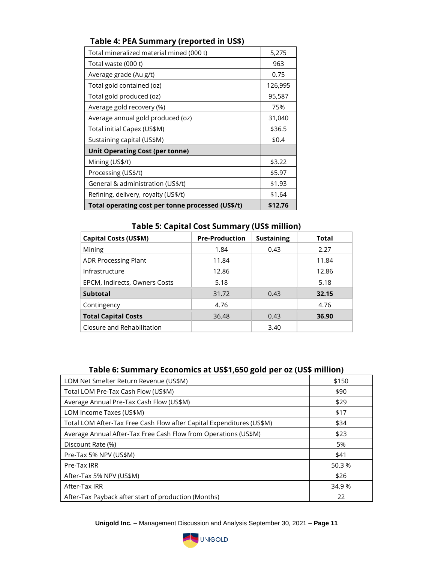| Total mineralized material mined (000 t)          | 5,275   |
|---------------------------------------------------|---------|
| Total waste (000 t)                               | 963     |
| Average grade (Au g/t)                            | 0.75    |
| Total gold contained (oz)                         | 126,995 |
| Total gold produced (oz)                          | 95,587  |
| Average gold recovery (%)                         | 75%     |
| Average annual gold produced (oz)                 | 31,040  |
| Total initial Capex (US\$M)                       | \$36.5  |
| Sustaining capital (US\$M)                        | \$0.4   |
| <b>Unit Operating Cost (per tonne)</b>            |         |
| Mining (US\$/t)                                   | \$3.22  |
| Processing (US\$/t)                               | \$5.97  |
| General & administration (US\$/t)                 | \$1.93  |
| Refining, delivery, royalty (US\$/t)              | \$1.64  |
| Total operating cost per tonne processed (US\$/t) | \$12.76 |

# **Table 4: PEA Summary (reported in US\$)**

**Table 5: Capital Cost Summary (US\$ million)**

| <b>Capital Costs (US\$M)</b>  | <b>Pre-Production</b> | <b>Sustaining</b> | Total |
|-------------------------------|-----------------------|-------------------|-------|
| Mining                        | 1.84                  | 0.43              | 2.27  |
| <b>ADR Processing Plant</b>   | 11.84                 |                   | 11.84 |
| Infrastructure                | 12.86                 |                   | 12.86 |
| EPCM, Indirects, Owners Costs | 5.18                  |                   | 5.18  |
| <b>Subtotal</b>               | 31.72                 | 0.43              | 32.15 |
| Contingency                   | 4.76                  |                   | 4.76  |
| <b>Total Capital Costs</b>    | 36.48                 | 0.43              | 36.90 |
| Closure and Rehabilitation    |                       | 3.40              |       |

# **Table 6: Summary Economics at US\$1,650 gold per oz (US\$ million)**

| LOM Net Smelter Return Revenue (US\$M)                                | \$150  |
|-----------------------------------------------------------------------|--------|
| Total LOM Pre-Tax Cash Flow (US\$M)                                   | \$90   |
| Average Annual Pre-Tax Cash Flow (US\$M)                              | \$29   |
| LOM Income Taxes (US\$M)                                              | \$17   |
| Total LOM After-Tax Free Cash Flow after Capital Expenditures (US\$M) | \$34   |
| Average Annual After-Tax Free Cash Flow from Operations (US\$M)       | \$23   |
| Discount Rate (%)                                                     | 5%     |
| Pre-Tax 5% NPV (US\$M)                                                | \$41   |
| Pre-Tax IRR                                                           | 50.3 % |
| After-Tax 5% NPV (US\$M)                                              | \$26   |
| After-Tax IRR                                                         | 34.9 % |
| After-Tax Payback after start of production (Months)                  | 22     |

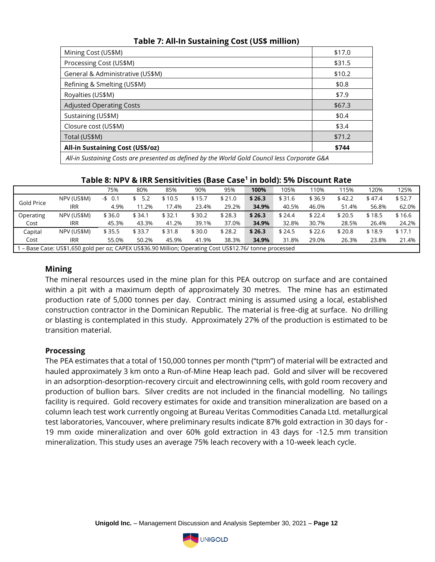| Mining Cost (US\$M)                                                                           | \$17.0 |  |  |  |  |  |
|-----------------------------------------------------------------------------------------------|--------|--|--|--|--|--|
| Processing Cost (US\$M)                                                                       | \$31.5 |  |  |  |  |  |
| General & Administrative (US\$M)                                                              | \$10.2 |  |  |  |  |  |
| Refining & Smelting (US\$M)                                                                   | \$0.8  |  |  |  |  |  |
| Royalties (US\$M)                                                                             | \$7.9  |  |  |  |  |  |
| <b>Adjusted Operating Costs</b>                                                               | \$67.3 |  |  |  |  |  |
| Sustaining (US\$M)                                                                            | \$0.4  |  |  |  |  |  |
| Closure cost (US\$M)                                                                          | \$3.4  |  |  |  |  |  |
| Total (US\$M)                                                                                 | \$71.2 |  |  |  |  |  |
| <b>All-in Sustaining Cost (US\$/oz)</b>                                                       | \$744  |  |  |  |  |  |
| All-in Sustaining Costs are presented as defined by the World Gold Council less Corporate G&A |        |  |  |  |  |  |

# **Table 7: All-In Sustaining Cost (US\$ million)**

| Table 8: NPV & IRR Sensitivities (Base Case <sup>1</sup> in bold): 5% Discount Rate |  |
|-------------------------------------------------------------------------------------|--|
|-------------------------------------------------------------------------------------|--|

|            |                                                                                                        | 75%      | 80%    | 85%    | 90%    | 95%    | 100%   | 105%   | 110%   | 115%   | 120%   | 125%   |
|------------|--------------------------------------------------------------------------------------------------------|----------|--------|--------|--------|--------|--------|--------|--------|--------|--------|--------|
| Gold Price | NPV (US\$M)                                                                                            | $-5$ 0.1 | 5.2    | \$10.5 | \$15.7 | \$21.0 | \$26.3 | \$31.6 | \$36.9 | \$42.2 | \$47.4 | \$52.7 |
|            | <b>IRR</b>                                                                                             | 4.9%     | 11.2%  | 17.4%  | 23.4%  | 29.2%  | 34.9%  | 40.5%  | 46.0%  | 51.4%  | 56.8%  | 62.0%  |
| Operating  | NPV (US\$M)                                                                                            | \$36.0   | \$34.1 | \$32.1 | \$30.2 | \$28.3 | \$26.3 | \$24.4 | \$22.4 | \$20.5 | \$18.5 | \$16.6 |
| Cost       | <b>IRR</b>                                                                                             | 45.3%    | 43.3%  | 41.2%  | 39.1%  | 37.0%  | 34.9%  | 32.8%  | 30.7%  | 28.5%  | 26.4%  | 24.2%  |
| Capital    | NPV (US\$M)                                                                                            | \$35.5   | \$33.7 | \$31.8 | \$30.0 | \$28.2 | \$26.3 | \$24.5 | \$22.6 | \$20.8 | \$18.9 | \$17.1 |
| Cost       | <b>IRR</b>                                                                                             | 55.0%    | 50.2%  | 45.9%  | 41.9%  | 38.3%  | 34.9%  | 31.8%  | 29.0%  | 26.3%  | 23.8%  | 21.4%  |
|            | - Base Case: US\$1,650 gold per oz; CAPEX US\$36.90 Million; Operating Cost US\$12.76/ tonne processed |          |        |        |        |        |        |        |        |        |        |        |

# **Mining**

The mineral resources used in the mine plan for this PEA outcrop on surface and are contained within a pit with a maximum depth of approximately 30 metres. The mine has an estimated production rate of 5,000 tonnes per day. Contract mining is assumed using a local, established construction contractor in the Dominican Republic. The material is free-dig at surface. No drilling or blasting is contemplated in this study. Approximately 27% of the production is estimated to be transition material.

#### **Processing**

The PEA estimates that a total of 150,000 tonnes per month ("tpm") of material will be extracted and hauled approximately 3 km onto a Run-of-Mine Heap leach pad. Gold and silver will be recovered in an adsorption-desorption-recovery circuit and electrowinning cells, with gold room recovery and production of bullion bars. Silver credits are not included in the financial modelling. No tailings facility is required. Gold recovery estimates for oxide and transition mineralization are based on a column leach test work currently ongoing at Bureau Veritas Commodities Canada Ltd. metallurgical test laboratories, Vancouver, where preliminary results indicate 87% gold extraction in 30 days for - 19 mm oxide mineralization and over 60% gold extraction in 43 days for -12.5 mm transition mineralization. This study uses an average 75% leach recovery with a 10-week leach cycle.

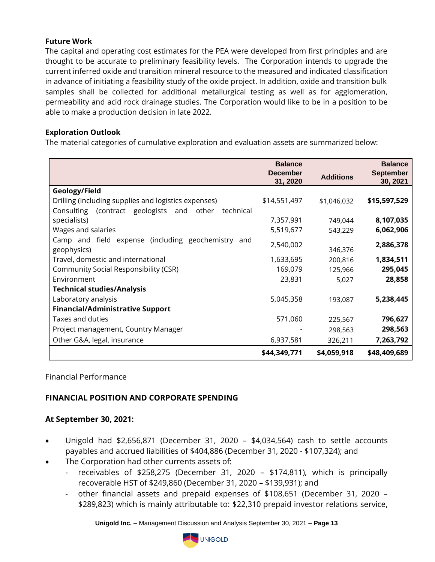#### **Future Work**

The capital and operating cost estimates for the PEA were developed from first principles and are thought to be accurate to preliminary feasibility levels. The Corporation intends to upgrade the current inferred oxide and transition mineral resource to the measured and indicated classification in advance of initiating a feasibility study of the oxide project. In addition, oxide and transition bulk samples shall be collected for additional metallurgical testing as well as for agglomeration, permeability and acid rock drainage studies. The Corporation would like to be in a position to be able to make a production decision in late 2022.

#### **Exploration Outlook**

The material categories of cumulative exploration and evaluation assets are summarized below:

|                                                                   | <b>Balance</b><br><b>December</b><br>31, 2020 | <b>Additions</b> | <b>Balance</b><br><b>September</b><br>30, 2021 |
|-------------------------------------------------------------------|-----------------------------------------------|------------------|------------------------------------------------|
| Geology/Field                                                     |                                               |                  |                                                |
| Drilling (including supplies and logistics expenses)              | \$14,551,497                                  | \$1,046,032      | \$15,597,529                                   |
| Consulting (contract geologists and other<br>technical            |                                               |                  |                                                |
| specialists)                                                      | 7,357,991                                     | 749,044          | 8,107,035                                      |
| Wages and salaries                                                | 5,519,677                                     | 543,229          | 6,062,906                                      |
| Camp and field expense (including geochemistry and<br>geophysics) | 2,540,002                                     | 346,376          | 2,886,378                                      |
| Travel, domestic and international                                | 1,633,695                                     | 200,816          | 1,834,511                                      |
| Community Social Responsibility (CSR)                             | 169,079                                       | 125,966          | 295,045                                        |
| Environment                                                       | 23,831                                        | 5,027            | 28,858                                         |
| <b>Technical studies/Analysis</b>                                 |                                               |                  |                                                |
| Laboratory analysis                                               | 5,045,358                                     | 193,087          | 5,238,445                                      |
| <b>Financial/Administrative Support</b>                           |                                               |                  |                                                |
| Taxes and duties                                                  | 571,060                                       | 225,567          | 796,627                                        |
| Project management, Country Manager                               |                                               | 298,563          | 298,563                                        |
| Other G&A, legal, insurance                                       | 6,937,581                                     | 326,211          | 7,263,792                                      |
|                                                                   | \$44,349,771                                  | \$4,059,918      | \$48,409,689                                   |

Financial Performance

# **FINANCIAL POSITION AND CORPORATE SPENDING**

# **At September 30, 2021:**

- Unigold had \$2,656,871 (December 31, 2020 \$4,034,564) cash to settle accounts payables and accrued liabilities of \$404,886 (December 31, 2020 - \$107,324); and
- The Corporation had other currents assets of:
	- receivables of \$258,275 (December 31, 2020 \$174,811), which is principally recoverable HST of \$249,860 (December 31, 2020 – \$139,931); and
	- other financial assets and prepaid expenses of \$108,651 (December 31, 2020 \$289,823) which is mainly attributable to: \$22,310 prepaid investor relations service,

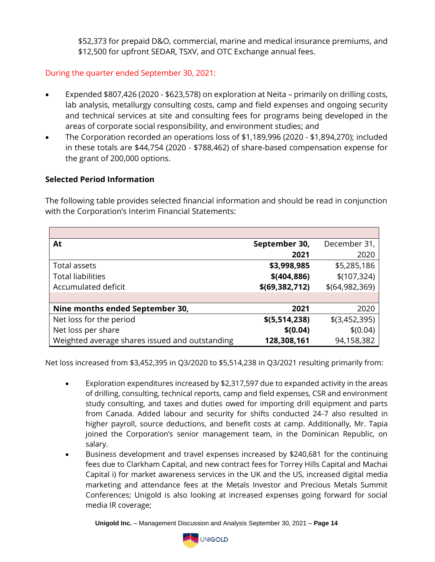\$52,373 for prepaid D&O, commercial, marine and medical insurance premiums, and \$12,500 for upfront SEDAR, TSXV, and OTC Exchange annual fees.

During the quarter ended September 30, 2021:

- Expended \$807,426 (2020 \$623,578) on exploration at Neita primarily on drilling costs, lab analysis, metallurgy consulting costs, camp and field expenses and ongoing security and technical services at site and consulting fees for programs being developed in the areas of corporate social responsibility, and environment studies; and
- The Corporation recorded an operations loss of \$1,189,996 (2020 \$1,894,270); included in these totals are \$44,754 (2020 - \$788,462) of share-based compensation expense for the grant of 200,000 options.

# **Selected Period Information**

The following table provides selected financial information and should be read in conjunction with the Corporation's Interim Financial Statements:

| At                                             | September 30,    | December 31,     |
|------------------------------------------------|------------------|------------------|
|                                                | 2021             | 2020             |
| Total assets                                   | \$3,998,985      | \$5,285,186      |
| <b>Total liabilities</b>                       | \$ (404, 886)    | \$(107, 324)     |
| Accumulated deficit                            | \$(69, 382, 712) | \$(64, 982, 369) |
|                                                |                  |                  |
| Nine months ended September 30,                | 2021             | 2020             |
| Net loss for the period                        | $$$ (5,514,238)  | $$$ (3,452,395)  |
| Net loss per share                             | \$(0.04)         | \$(0.04)         |
| Weighted average shares issued and outstanding | 128,308,161      | 94,158,382       |

Net loss increased from \$3,452,395 in Q3/2020 to \$5,514,238 in Q3/2021 resulting primarily from:

- Exploration expenditures increased by \$2,317,597 due to expanded activity in the areas of drilling, consulting, technical reports, camp and field expenses, CSR and environment study consulting, and taxes and duties owed for importing drill equipment and parts from Canada. Added labour and security for shifts conducted 24-7 also resulted in higher payroll, source deductions, and benefit costs at camp. Additionally, Mr. Tapia joined the Corporation's senior management team, in the Dominican Republic, on salary.
- Business development and travel expenses increased by \$240,681 for the continuing fees due to Clarkham Capital, and new contract fees for Torrey Hills Capital and Machai Capital i) for market awareness services in the UK and the US, increased digital media marketing and attendance fees at the Metals Investor and Precious Metals Summit Conferences; Unigold is also looking at increased expenses going forward for social media IR coverage;

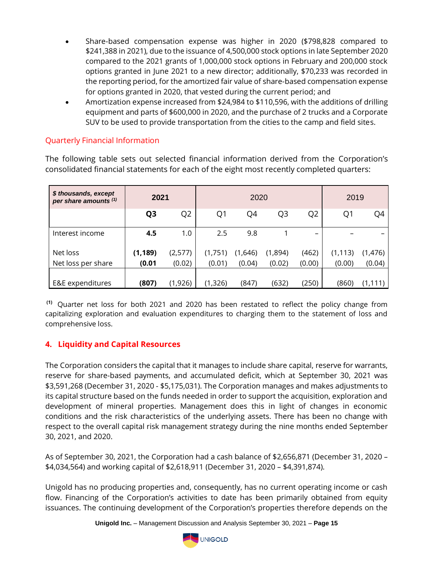- Share-based compensation expense was higher in 2020 (\$798,828 compared to \$241,388 in 2021), due to the issuance of 4,500,000 stock options in late September 2020 compared to the 2021 grants of 1,000,000 stock options in February and 200,000 stock options granted in June 2021 to a new director; additionally, \$70,233 was recorded in the reporting period, for the amortized fair value of share-based compensation expense for options granted in 2020, that vested during the current period; and
- Amortization expense increased from \$24,984 to \$110,596, with the additions of drilling equipment and parts of \$600,000 in 2020, and the purchase of 2 trucks and a Corporate SUV to be used to provide transportation from the cities to the camp and field sites.

# Quarterly Financial Information

The following table sets out selected financial information derived from the Corporation's consolidated financial statements for each of the eight most recently completed quarters:

| \$ thousands, except<br>per share amounts (1) | 2021           |                | 2020     |         |         | 2019                     |          |          |
|-----------------------------------------------|----------------|----------------|----------|---------|---------|--------------------------|----------|----------|
|                                               | Q <sub>3</sub> | Q <sub>2</sub> | Q1       | Q4      | Q3      | Q <sub>2</sub>           | Q1       | Q4       |
| Interest income                               | 4.5            | 1.0            | 2.5      | 9.8     |         | $\overline{\phantom{0}}$ |          |          |
| Net loss                                      | (1, 189)       | (2,577)        | (1,751)  | (1,646) | (1,894) | (462)                    | (1, 113) | (1,476)  |
| Net loss per share                            | (0.01)         | (0.02)         | (0.01)   | (0.04)  | (0.02)  | (0.00)                   | (0.00)   | (0.04)   |
|                                               |                |                |          |         |         |                          |          |          |
| E&E expenditures                              | (807)          | (1, 926)       | (1, 326) | (847)   | (632)   | (250)                    | (860)    | (1, 111) |

**(1)** Quarter net loss for both 2021 and 2020 has been restated to reflect the policy change from capitalizing exploration and evaluation expenditures to charging them to the statement of loss and comprehensive loss.

# **4. Liquidity and Capital Resources**

The Corporation considers the capital that it manages to include share capital, reserve for warrants, reserve for share-based payments, and accumulated deficit, which at September 30, 2021 was \$3,591,268 (December 31, 2020 - \$5,175,031). The Corporation manages and makes adjustments to its capital structure based on the funds needed in order to support the acquisition, exploration and development of mineral properties. Management does this in light of changes in economic conditions and the risk characteristics of the underlying assets. There has been no change with respect to the overall capital risk management strategy during the nine months ended September 30, 2021, and 2020.

As of September 30, 2021, the Corporation had a cash balance of \$2,656,871 (December 31, 2020 – \$4,034,564) and working capital of \$2,618,911 (December 31, 2020 – \$4,391,874).

Unigold has no producing properties and, consequently, has no current operating income or cash flow. Financing of the Corporation's activities to date has been primarily obtained from equity issuances. The continuing development of the Corporation's properties therefore depends on the

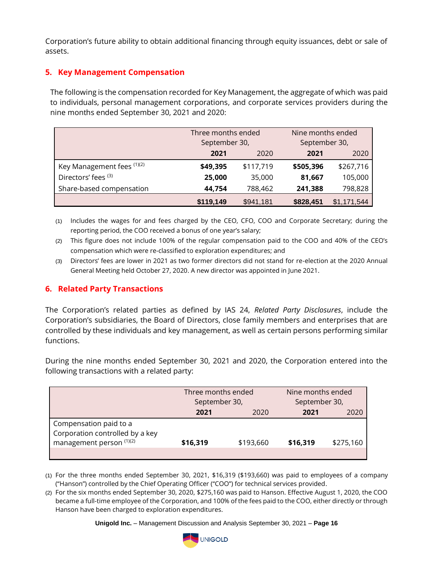Corporation's future ability to obtain additional financing through equity issuances, debt or sale of assets.

# **5. Key Management Compensation**

The following is the compensation recorded for Key Management, the aggregate of which was paid to individuals, personal management corporations, and corporate services providers during the nine months ended September 30, 2021 and 2020:

|                            | Three months ended<br>September 30, |           | Nine months ended<br>September 30, |             |  |
|----------------------------|-------------------------------------|-----------|------------------------------------|-------------|--|
|                            | 2021                                | 2020      |                                    | 2020        |  |
| Key Management fees (1)(2) | \$49,395                            | \$117,719 | \$505,396                          | \$267,716   |  |
| Directors' fees (3)        | 25,000                              | 35,000    | 81,667                             | 105,000     |  |
| Share-based compensation   | 44,754                              | 788,462   | 241,388                            | 798,828     |  |
|                            | \$119,149                           | \$941,181 | \$828,451                          | \$1,171,544 |  |

(1) Includes the wages for and fees charged by the CEO, CFO, COO and Corporate Secretary; during the reporting period, the COO received a bonus of one year's salary;

- (2) This figure does not include 100% of the regular compensation paid to the COO and 40% of the CEO's compensation which were re-classified to exploration expenditures; and
- (3) Directors' fees are lower in 2021 as two former directors did not stand for re-election at the 2020 Annual General Meeting held October 27, 2020. A new director was appointed in June 2021.

# **6. Related Party Transactions**

The Corporation's related parties as defined by IAS 24, *Related Party Disclosures*, include the Corporation's subsidiaries, the Board of Directors, close family members and enterprises that are controlled by these individuals and key management, as well as certain persons performing similar functions.

During the nine months ended September 30, 2021 and 2020, the Corporation entered into the following transactions with a related party:

|                                                                                       | Three months ended<br>September 30, |           | Nine months ended<br>September 30, |           |
|---------------------------------------------------------------------------------------|-------------------------------------|-----------|------------------------------------|-----------|
|                                                                                       | 2021                                | 2020      | 2021<br>2020                       |           |
| Compensation paid to a<br>Corporation controlled by a key<br>management person (1)(2) | \$16,319                            | \$193,660 | \$16,319                           | \$275,160 |

(1) For the three months ended September 30, 2021, \$16,319 (\$193,660) was paid to employees of a company ("Hanson") controlled by the Chief Operating Officer ("COO") for technical services provided.

(2) For the six months ended September 30, 2020, \$275,160 was paid to Hanson. Effective August 1, 2020, the COO became a full-time employee of the Corporation, and 100% of the fees paid to the COO, either directly or through Hanson have been charged to exploration expenditures.

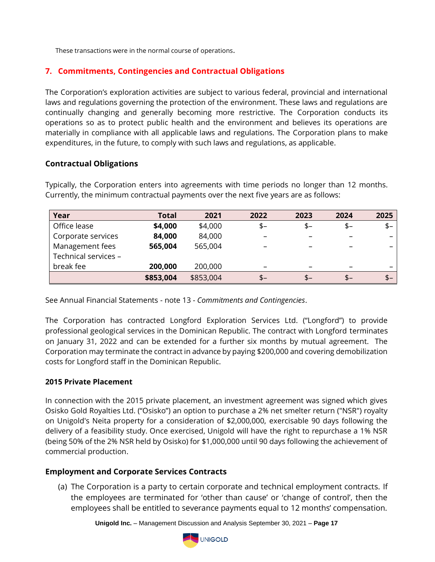These transactions were in the normal course of operations.

# **7. Commitments, Contingencies and Contractual Obligations**

The Corporation's exploration activities are subject to various federal, provincial and international laws and regulations governing the protection of the environment. These laws and regulations are continually changing and generally becoming more restrictive. The Corporation conducts its operations so as to protect public health and the environment and believes its operations are materially in compliance with all applicable laws and regulations. The Corporation plans to make expenditures, in the future, to comply with such laws and regulations, as applicable.

#### **Contractual Obligations**

Typically, the Corporation enters into agreements with time periods no longer than 12 months. Currently, the minimum contractual payments over the next five years are as follows:

| Year                 | <b>Total</b> | 2021      | 2022                     | 2023 | 2024 | 2025 |
|----------------------|--------------|-----------|--------------------------|------|------|------|
| Office lease         | \$4,000      | \$4,000   | \$-                      | $$-$ | \$-  | \$-  |
| Corporate services   | 84,000       | 84,000    | $\overline{\phantom{0}}$ |      |      |      |
| Management fees      | 565,004      | 565,004   | -                        |      |      |      |
| Technical services - |              |           |                          |      |      |      |
| break fee            | 200,000      | 200,000   | $\overline{\phantom{0}}$ | -    |      |      |
|                      | \$853,004    | \$853,004 | \$-                      | $S-$ | $$-$ | $S-$ |

See Annual Financial Statements - note 13 - *Commitments and Contingencies*.

The Corporation has contracted Longford Exploration Services Ltd. ("Longford") to provide professional geological services in the Dominican Republic. The contract with Longford terminates on January 31, 2022 and can be extended for a further six months by mutual agreement. The Corporation may terminate the contract in advance by paying \$200,000 and covering demobilization costs for Longford staff in the Dominican Republic.

# **2015 Private Placement**

In connection with the 2015 private placement, an investment agreement was signed which gives Osisko Gold Royalties Ltd. ("Osisko") an option to purchase a 2% net smelter return ("NSR") royalty on Unigold's Neita property for a consideration of \$2,000,000, exercisable 90 days following the delivery of a feasibility study. Once exercised, Unigold will have the right to repurchase a 1% NSR (being 50% of the 2% NSR held by Osisko) for \$1,000,000 until 90 days following the achievement of commercial production.

# **Employment and Corporate Services Contracts**

(a) The Corporation is a party to certain corporate and technical employment contracts. If the employees are terminated for 'other than cause' or 'change of control', then the employees shall be entitled to severance payments equal to 12 months' compensation.

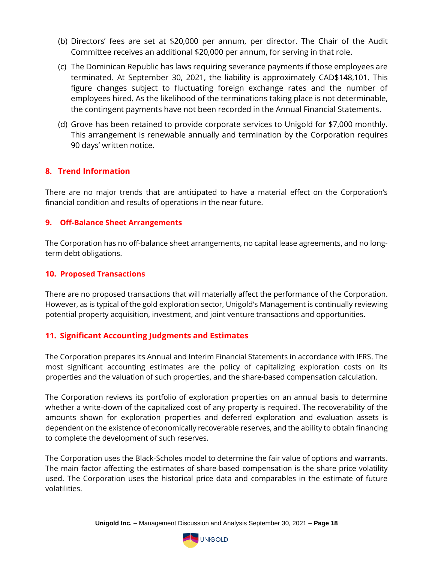- (b) Directors' fees are set at \$20,000 per annum, per director. The Chair of the Audit Committee receives an additional \$20,000 per annum, for serving in that role.
- (c) The Dominican Republic has laws requiring severance payments if those employees are terminated. At September 30, 2021, the liability is approximately CAD\$148,101. This figure changes subject to fluctuating foreign exchange rates and the number of employees hired. As the likelihood of the terminations taking place is not determinable, the contingent payments have not been recorded in the Annual Financial Statements.
- (d) Grove has been retained to provide corporate services to Unigold for \$7,000 monthly. This arrangement is renewable annually and termination by the Corporation requires 90 days' written notice.

# **8. Trend Information**

There are no major trends that are anticipated to have a material effect on the Corporation's financial condition and results of operations in the near future.

# **9. Off-Balance Sheet Arrangements**

The Corporation has no off-balance sheet arrangements, no capital lease agreements, and no longterm debt obligations.

#### **10. Proposed Transactions**

There are no proposed transactions that will materially affect the performance of the Corporation. However, as is typical of the gold exploration sector, Unigold's Management is continually reviewing potential property acquisition, investment, and joint venture transactions and opportunities.

# **11. Significant Accounting Judgments and Estimates**

The Corporation prepares its Annual and Interim Financial Statements in accordance with IFRS. The most significant accounting estimates are the policy of capitalizing exploration costs on its properties and the valuation of such properties, and the share-based compensation calculation.

The Corporation reviews its portfolio of exploration properties on an annual basis to determine whether a write-down of the capitalized cost of any property is required. The recoverability of the amounts shown for exploration properties and deferred exploration and evaluation assets is dependent on the existence of economically recoverable reserves, and the ability to obtain financing to complete the development of such reserves.

The Corporation uses the Black-Scholes model to determine the fair value of options and warrants. The main factor affecting the estimates of share-based compensation is the share price volatility used. The Corporation uses the historical price data and comparables in the estimate of future volatilities.

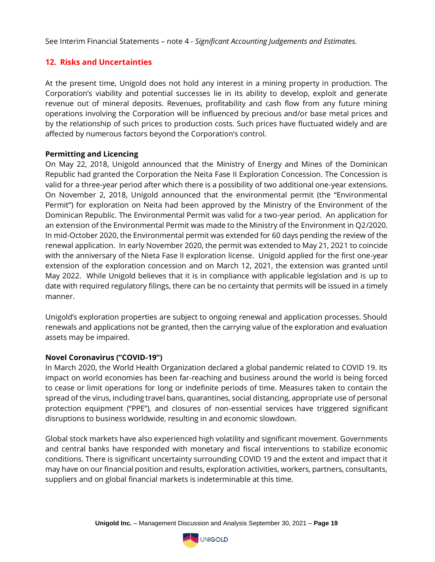See Interim Financial Statements – note 4 - *Significant Accounting Judgements and Estimates.*

# **12. Risks and Uncertainties**

At the present time, Unigold does not hold any interest in a mining property in production. The Corporation's viability and potential successes lie in its ability to develop, exploit and generate revenue out of mineral deposits. Revenues, profitability and cash flow from any future mining operations involving the Corporation will be influenced by precious and/or base metal prices and by the relationship of such prices to production costs. Such prices have fluctuated widely and are affected by numerous factors beyond the Corporation's control.

#### **Permitting and Licencing**

On May 22, 2018, Unigold announced that the Ministry of Energy and Mines of the Dominican Republic had granted the Corporation the Neita Fase II Exploration Concession. The Concession is valid for a three-year period after which there is a possibility of two additional one-year extensions. On November 2, 2018, Unigold announced that the environmental permit (the "Environmental Permit") for exploration on Neita had been approved by the Ministry of the Environment of the Dominican Republic. The Environmental Permit was valid for a two-year period. An application for an extension of the Environmental Permit was made to the Ministry of the Environment in Q2/2020. In mid-October 2020, the Environmental permit was extended for 60 days pending the review of the renewal application. In early November 2020, the permit was extended to May 21, 2021 to coincide with the anniversary of the Nieta Fase II exploration license. Unigold applied for the first one-year extension of the exploration concession and on March 12, 2021, the extension was granted until May 2022. While Unigold believes that it is in compliance with applicable legislation and is up to date with required regulatory filings, there can be no certainty that permits will be issued in a timely manner.

Unigold's exploration properties are subject to ongoing renewal and application processes. Should renewals and applications not be granted, then the carrying value of the exploration and evaluation assets may be impaired.

#### **Novel Coronavirus ("COVID-19")**

In March 2020, the World Health Organization declared a global pandemic related to COVID 19. Its impact on world economies has been far-reaching and business around the world is being forced to cease or limit operations for long or indefinite periods of time. Measures taken to contain the spread of the virus, including travel bans, quarantines, social distancing, appropriate use of personal protection equipment ("PPE"), and closures of non-essential services have triggered significant disruptions to business worldwide, resulting in and economic slowdown.

Global stock markets have also experienced high volatility and significant movement. Governments and central banks have responded with monetary and fiscal interventions to stabilize economic conditions. There is significant uncertainty surrounding COVID 19 and the extent and impact that it may have on our financial position and results, exploration activities, workers, partners, consultants, suppliers and on global financial markets is indeterminable at this time.

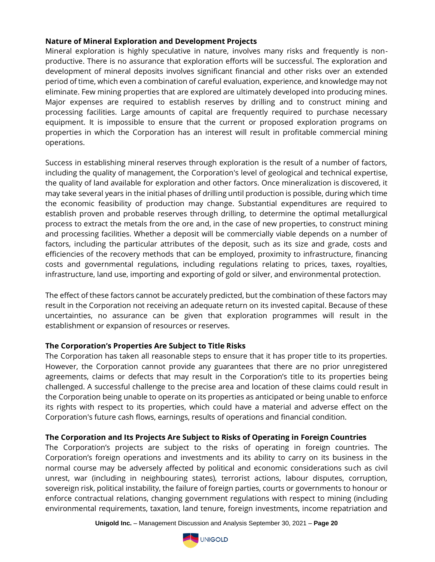# **Nature of Mineral Exploration and Development Projects**

Mineral exploration is highly speculative in nature, involves many risks and frequently is nonproductive. There is no assurance that exploration efforts will be successful. The exploration and development of mineral deposits involves significant financial and other risks over an extended period of time, which even a combination of careful evaluation, experience, and knowledge may not eliminate. Few mining properties that are explored are ultimately developed into producing mines. Major expenses are required to establish reserves by drilling and to construct mining and processing facilities. Large amounts of capital are frequently required to purchase necessary equipment. It is impossible to ensure that the current or proposed exploration programs on properties in which the Corporation has an interest will result in profitable commercial mining operations.

Success in establishing mineral reserves through exploration is the result of a number of factors, including the quality of management, the Corporation's level of geological and technical expertise, the quality of land available for exploration and other factors. Once mineralization is discovered, it may take several years in the initial phases of drilling until production is possible, during which time the economic feasibility of production may change. Substantial expenditures are required to establish proven and probable reserves through drilling, to determine the optimal metallurgical process to extract the metals from the ore and, in the case of new properties, to construct mining and processing facilities. Whether a deposit will be commercially viable depends on a number of factors, including the particular attributes of the deposit, such as its size and grade, costs and efficiencies of the recovery methods that can be employed, proximity to infrastructure, financing costs and governmental regulations, including regulations relating to prices, taxes, royalties, infrastructure, land use, importing and exporting of gold or silver, and environmental protection.

The effect of these factors cannot be accurately predicted, but the combination of these factors may result in the Corporation not receiving an adequate return on its invested capital. Because of these uncertainties, no assurance can be given that exploration programmes will result in the establishment or expansion of resources or reserves.

# **The Corporation's Properties Are Subject to Title Risks**

The Corporation has taken all reasonable steps to ensure that it has proper title to its properties. However, the Corporation cannot provide any guarantees that there are no prior unregistered agreements, claims or defects that may result in the Corporation's title to its properties being challenged. A successful challenge to the precise area and location of these claims could result in the Corporation being unable to operate on its properties as anticipated or being unable to enforce its rights with respect to its properties, which could have a material and adverse effect on the Corporation's future cash flows, earnings, results of operations and financial condition.

# **The Corporation and Its Projects Are Subject to Risks of Operating in Foreign Countries**

The Corporation's projects are subject to the risks of operating in foreign countries. The Corporation's foreign operations and investments and its ability to carry on its business in the normal course may be adversely affected by political and economic considerations such as civil unrest, war (including in neighbouring states), terrorist actions, labour disputes, corruption, sovereign risk, political instability, the failure of foreign parties, courts or governments to honour or enforce contractual relations, changing government regulations with respect to mining (including environmental requirements, taxation, land tenure, foreign investments, income repatriation and

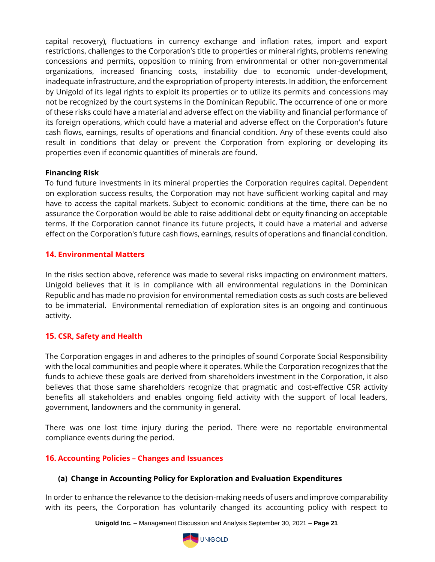capital recovery), fluctuations in currency exchange and inflation rates, import and export restrictions, challenges to the Corporation's title to properties or mineral rights, problems renewing concessions and permits, opposition to mining from environmental or other non-governmental organizations, increased financing costs, instability due to economic under-development, inadequate infrastructure, and the expropriation of property interests. In addition, the enforcement by Unigold of its legal rights to exploit its properties or to utilize its permits and concessions may not be recognized by the court systems in the Dominican Republic. The occurrence of one or more of these risks could have a material and adverse effect on the viability and financial performance of its foreign operations, which could have a material and adverse effect on the Corporation's future cash flows, earnings, results of operations and financial condition. Any of these events could also result in conditions that delay or prevent the Corporation from exploring or developing its properties even if economic quantities of minerals are found.

# **Financing Risk**

To fund future investments in its mineral properties the Corporation requires capital. Dependent on exploration success results, the Corporation may not have sufficient working capital and may have to access the capital markets. Subject to economic conditions at the time, there can be no assurance the Corporation would be able to raise additional debt or equity financing on acceptable terms. If the Corporation cannot finance its future projects, it could have a material and adverse effect on the Corporation's future cash flows, earnings, results of operations and financial condition.

# **14. Environmental Matters**

In the risks section above, reference was made to several risks impacting on environment matters. Unigold believes that it is in compliance with all environmental regulations in the Dominican Republic and has made no provision for environmental remediation costs as such costs are believed to be immaterial. Environmental remediation of exploration sites is an ongoing and continuous activity.

# **15. CSR, Safety and Health**

The Corporation engages in and adheres to the principles of sound Corporate Social Responsibility with the local communities and people where it operates. While the Corporation recognizes that the funds to achieve these goals are derived from shareholders investment in the Corporation, it also believes that those same shareholders recognize that pragmatic and cost-effective CSR activity benefits all stakeholders and enables ongoing field activity with the support of local leaders, government, landowners and the community in general.

There was one lost time injury during the period. There were no reportable environmental compliance events during the period.

# **16. Accounting Policies – Changes and Issuances**

# **(a) Change in Accounting Policy for Exploration and Evaluation Expenditures**

In order to enhance the relevance to the decision-making needs of users and improve comparability with its peers, the Corporation has voluntarily changed its accounting policy with respect to

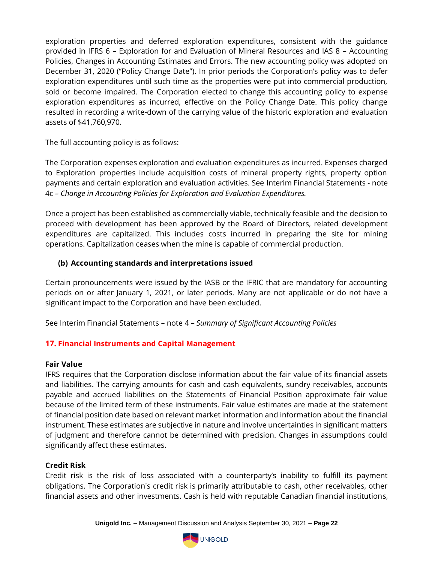exploration properties and deferred exploration expenditures, consistent with the guidance provided in IFRS 6 – Exploration for and Evaluation of Mineral Resources and IAS 8 – Accounting Policies, Changes in Accounting Estimates and Errors. The new accounting policy was adopted on December 31, 2020 ("Policy Change Date"). In prior periods the Corporation's policy was to defer exploration expenditures until such time as the properties were put into commercial production, sold or become impaired. The Corporation elected to change this accounting policy to expense exploration expenditures as incurred, effective on the Policy Change Date. This policy change resulted in recording a write-down of the carrying value of the historic exploration and evaluation assets of \$41,760,970.

The full accounting policy is as follows:

The Corporation expenses exploration and evaluation expenditures as incurred. Expenses charged to Exploration properties include acquisition costs of mineral property rights, property option payments and certain exploration and evaluation activities. See Interim Financial Statements - note 4c *– Change in Accounting Policies for Exploration and Evaluation Expenditures.* 

Once a project has been established as commercially viable, technically feasible and the decision to proceed with development has been approved by the Board of Directors, related development expenditures are capitalized. This includes costs incurred in preparing the site for mining operations. Capitalization ceases when the mine is capable of commercial production.

#### **(b) Accounting standards and interpretations issued**

Certain pronouncements were issued by the IASB or the IFRIC that are mandatory for accounting periods on or after January 1, 2021, or later periods. Many are not applicable or do not have a significant impact to the Corporation and have been excluded.

See Interim Financial Statements – note 4 – *Summary of Significant Accounting Policies*

#### **17. Financial Instruments and Capital Management**

#### **Fair Value**

IFRS requires that the Corporation disclose information about the fair value of its financial assets and liabilities. The carrying amounts for cash and cash equivalents, sundry receivables, accounts payable and accrued liabilities on the Statements of Financial Position approximate fair value because of the limited term of these instruments. Fair value estimates are made at the statement of financial position date based on relevant market information and information about the financial instrument. These estimates are subjective in nature and involve uncertainties in significant matters of judgment and therefore cannot be determined with precision. Changes in assumptions could significantly affect these estimates.

#### **Credit Risk**

Credit risk is the risk of loss associated with a counterparty's inability to fulfill its payment obligations. The Corporation's credit risk is primarily attributable to cash, other receivables, other financial assets and other investments. Cash is held with reputable Canadian financial institutions,

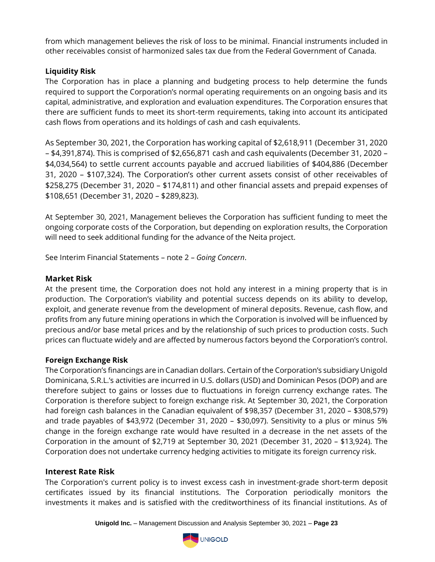from which management believes the risk of loss to be minimal. Financial instruments included in other receivables consist of harmonized sales tax due from the Federal Government of Canada.

# **Liquidity Risk**

The Corporation has in place a planning and budgeting process to help determine the funds required to support the Corporation's normal operating requirements on an ongoing basis and its capital, administrative, and exploration and evaluation expenditures. The Corporation ensures that there are sufficient funds to meet its short-term requirements, taking into account its anticipated cash flows from operations and its holdings of cash and cash equivalents.

As September 30, 2021, the Corporation has working capital of \$2,618,911 (December 31, 2020 – \$4,391,874). This is comprised of \$2,656,871 cash and cash equivalents (December 31, 2020 – \$4,034,564) to settle current accounts payable and accrued liabilities of \$404,886 (December 31, 2020 – \$107,324). The Corporation's other current assets consist of other receivables of \$258,275 (December 31, 2020 – \$174,811) and other financial assets and prepaid expenses of \$108,651 (December 31, 2020 – \$289,823).

At September 30, 2021, Management believes the Corporation has sufficient funding to meet the ongoing corporate costs of the Corporation, but depending on exploration results, the Corporation will need to seek additional funding for the advance of the Neita project.

See Interim Financial Statements – note 2 – *Going Concern*.

# **Market Risk**

At the present time, the Corporation does not hold any interest in a mining property that is in production. The Corporation's viability and potential success depends on its ability to develop, exploit, and generate revenue from the development of mineral deposits. Revenue, cash flow, and profits from any future mining operations in which the Corporation is involved will be influenced by precious and/or base metal prices and by the relationship of such prices to production costs. Such prices can fluctuate widely and are affected by numerous factors beyond the Corporation's control.

# **Foreign Exchange Risk**

The Corporation's financings are in Canadian dollars. Certain of the Corporation's subsidiary Unigold Dominicana, S.R.L.'s activities are incurred in U.S. dollars (USD) and Dominican Pesos (DOP) and are therefore subject to gains or losses due to fluctuations in foreign currency exchange rates. The Corporation is therefore subject to foreign exchange risk. At September 30, 2021, the Corporation had foreign cash balances in the Canadian equivalent of \$98,357 (December 31, 2020 – \$308,579) and trade payables of \$43,972 (December 31, 2020 – \$30,097). Sensitivity to a plus or minus 5% change in the foreign exchange rate would have resulted in a decrease in the net assets of the Corporation in the amount of \$2,719 at September 30, 2021 (December 31, 2020 – \$13,924). The Corporation does not undertake currency hedging activities to mitigate its foreign currency risk.

# **Interest Rate Risk**

The Corporation's current policy is to invest excess cash in investment-grade short-term deposit certificates issued by its financial institutions. The Corporation periodically monitors the investments it makes and is satisfied with the creditworthiness of its financial institutions. As of

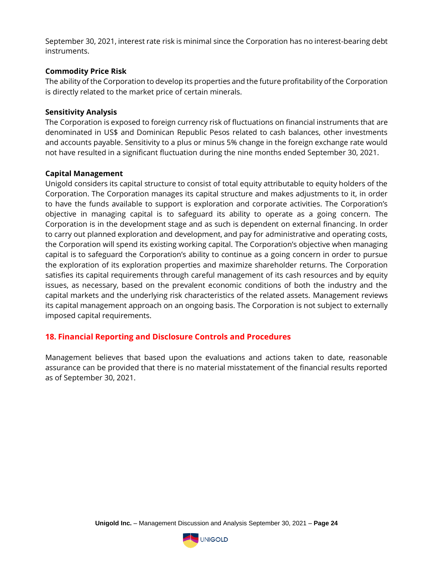September 30, 2021, interest rate risk is minimal since the Corporation has no interest-bearing debt instruments.

#### **Commodity Price Risk**

The ability of the Corporation to develop its properties and the future profitability of the Corporation is directly related to the market price of certain minerals.

#### **Sensitivity Analysis**

The Corporation is exposed to foreign currency risk of fluctuations on financial instruments that are denominated in US\$ and Dominican Republic Pesos related to cash balances, other investments and accounts payable. Sensitivity to a plus or minus 5% change in the foreign exchange rate would not have resulted in a significant fluctuation during the nine months ended September 30, 2021.

#### **Capital Management**

Unigold considers its capital structure to consist of total equity attributable to equity holders of the Corporation. The Corporation manages its capital structure and makes adjustments to it, in order to have the funds available to support is exploration and corporate activities. The Corporation's objective in managing capital is to safeguard its ability to operate as a going concern. The Corporation is in the development stage and as such is dependent on external financing. In order to carry out planned exploration and development, and pay for administrative and operating costs, the Corporation will spend its existing working capital. The Corporation's objective when managing capital is to safeguard the Corporation's ability to continue as a going concern in order to pursue the exploration of its exploration properties and maximize shareholder returns. The Corporation satisfies its capital requirements through careful management of its cash resources and by equity issues, as necessary, based on the prevalent economic conditions of both the industry and the capital markets and the underlying risk characteristics of the related assets. Management reviews its capital management approach on an ongoing basis. The Corporation is not subject to externally imposed capital requirements.

# **18. Financial Reporting and Disclosure Controls and Procedures**

Management believes that based upon the evaluations and actions taken to date, reasonable assurance can be provided that there is no material misstatement of the financial results reported as of September 30, 2021.

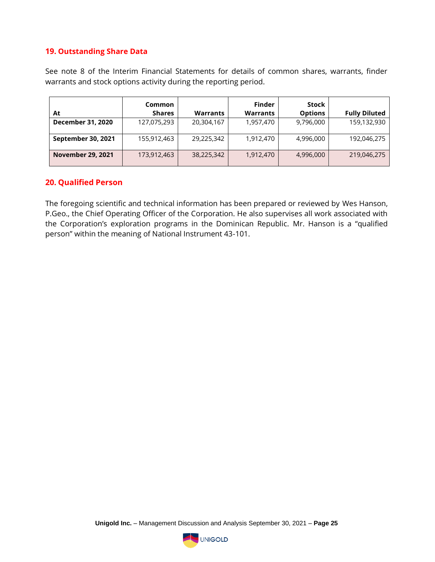#### **19. Outstanding Share Data**

See note 8 of the Interim Financial Statements for details of common shares, warrants, finder warrants and stock options activity during the reporting period.

|                           | <b>Common</b> |            | <b>Finder</b>   | Stock          |                      |
|---------------------------|---------------|------------|-----------------|----------------|----------------------|
| At                        | <b>Shares</b> | Warrants   | <b>Warrants</b> | <b>Options</b> | <b>Fully Diluted</b> |
| <b>December 31, 2020</b>  | 127,075,293   | 20,304,167 | 1,957,470       | 9,796,000      | 159,132,930          |
| <b>September 30, 2021</b> | 155,912,463   | 29,225,342 | 1,912,470       | 4,996,000      | 192,046,275          |
| <b>November 29, 2021</b>  | 173,912,463   | 38,225,342 | 1,912,470       | 4,996,000      | 219,046,275          |

#### **20. Qualified Person**

The foregoing scientific and technical information has been prepared or reviewed by Wes Hanson, P.Geo., the Chief Operating Officer of the Corporation. He also supervises all work associated with the Corporation's exploration programs in the Dominican Republic. Mr. Hanson is a "qualified person" within the meaning of National Instrument 43-101.